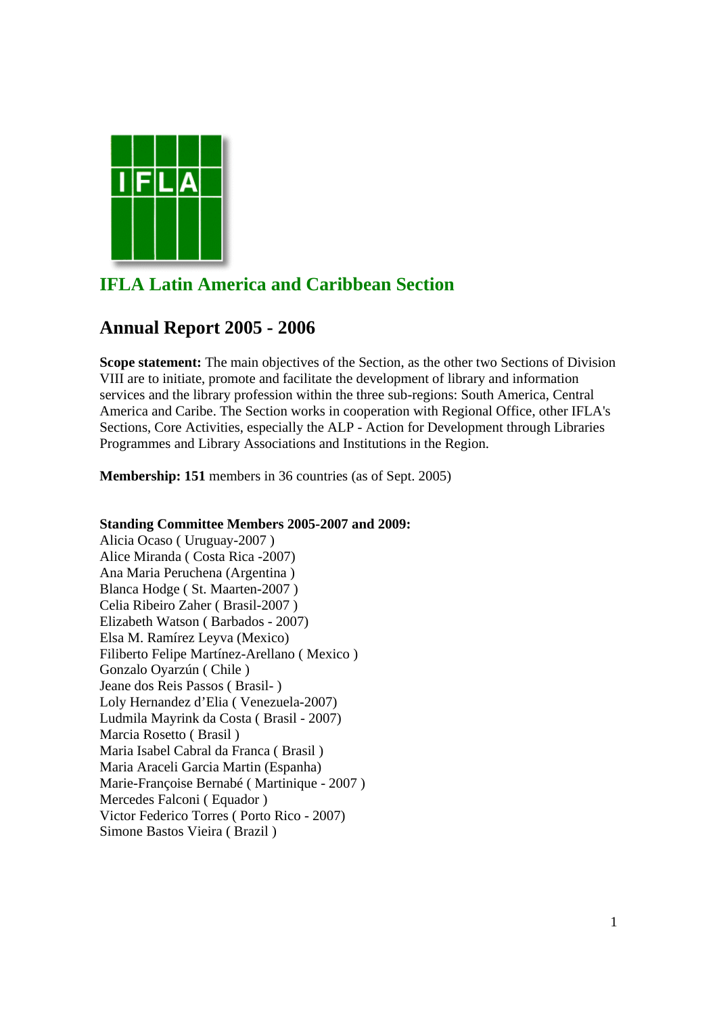

# **IFLA Latin America and Caribbean Section**

# **Annual Report 2005 - 2006**

**Scope statement:** The main objectives of the Section, as the other two Sections of Division VIII are to initiate, promote and facilitate the development of library and information services and the library profession within the three sub-regions: South America, Central America and Caribe. The Section works in cooperation with Regional Office, other IFLA's Sections, Core Activities, especially the ALP - Action for Development through Libraries Programmes and Library Associations and Institutions in the Region.

**Membership: 151** members in 36 countries (as of Sept. 2005)

# **Standing Committee Members 2005-2007 and 2009:**

Alicia Ocaso ( Uruguay-2007 ) Alice Miranda ( Costa Rica -2007) Ana Maria Peruchena (Argentina ) Blanca Hodge ( St. Maarten-2007 ) Celia Ribeiro Zaher ( Brasil-2007 ) Elizabeth Watson ( Barbados - 2007) Elsa M. Ramírez Leyva (Mexico) Filiberto Felipe Martínez-Arellano ( Mexico ) Gonzalo Oyarzún ( Chile ) Jeane dos Reis Passos ( Brasil- ) Loly Hernandez d'Elia ( Venezuela-2007) Ludmila Mayrink da Costa ( Brasil - 2007) Marcia Rosetto ( Brasil ) Maria Isabel Cabral da Franca ( Brasil ) Maria Araceli Garcia Martin (Espanha) Marie-Françoise Bernabé ( Martinique - 2007 ) Mercedes Falconi ( Equador ) Victor Federico Torres ( Porto Rico - 2007) Simone Bastos Vieira ( Brazil )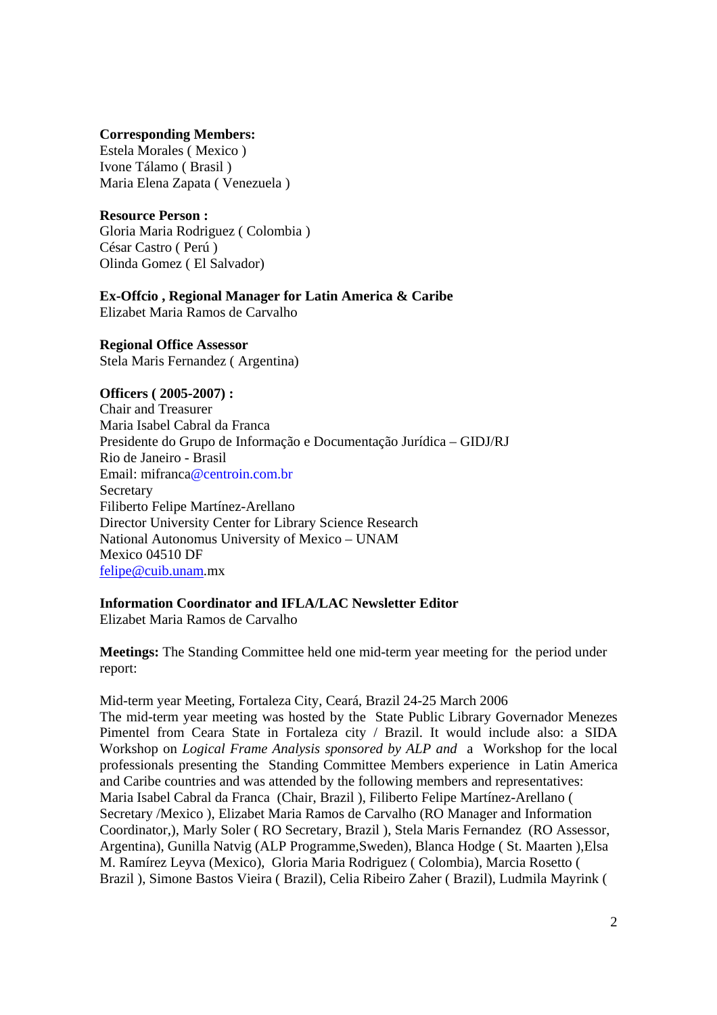## **Corresponding Members:**

Estela Morales ( Mexico ) Ivone Tálamo ( Brasil ) Maria Elena Zapata ( Venezuela )

# **Resource Person :**

Gloria Maria Rodriguez ( Colombia ) César Castro ( Perú ) Olinda Gomez ( El Salvador)

# **Ex-Offcio , Regional Manager for Latin America & Caribe**

Elizabet Maria Ramos de Carvalho

**Regional Office Assessor**  Stela Maris Fernandez ( Argentina)

## **Officers ( 2005-2007) :**

Chair and Treasurer Maria Isabel Cabral da Franca Presidente do Grupo de Informação e Documentação Jurídica – GIDJ/RJ Rio de Janeiro - Brasil Email: mifranca@centroin.com.br **Secretary** Filiberto Felipe Martínez-Arellano Director University Center for Library Science Research National Autonomus University of Mexico – UNAM Mexico 04510 DF felipe@cuib.unam.mx

# **Information Coordinator and IFLA/LAC Newsletter Editor**

Elizabet Maria Ramos de Carvalho

**Meetings:** The Standing Committee held one mid-term year meeting for the period under report:

Mid-term year Meeting, Fortaleza City, Ceará, Brazil 24-25 March 2006 The mid-term year meeting was hosted by the State Public Library Governador Menezes Pimentel from Ceara State in Fortaleza city / Brazil. It would include also: a SIDA Workshop on *Logical Frame Analysis sponsored by ALP and* a Workshop for the local professionals presenting the Standing Committee Members experience in Latin America and Caribe countries and was attended by the following members and representatives: Maria Isabel Cabral da Franca (Chair, Brazil ), Filiberto Felipe Martínez-Arellano ( Secretary /Mexico ), Elizabet Maria Ramos de Carvalho (RO Manager and Information Coordinator,), Marly Soler ( RO Secretary, Brazil ), Stela Maris Fernandez (RO Assessor, Argentina), Gunilla Natvig (ALP Programme,Sweden), Blanca Hodge ( St. Maarten ),Elsa M. Ramírez Leyva (Mexico), Gloria Maria Rodriguez ( Colombia), Marcia Rosetto ( Brazil ), Simone Bastos Vieira ( Brazil), Celia Ribeiro Zaher ( Brazil), Ludmila Mayrink (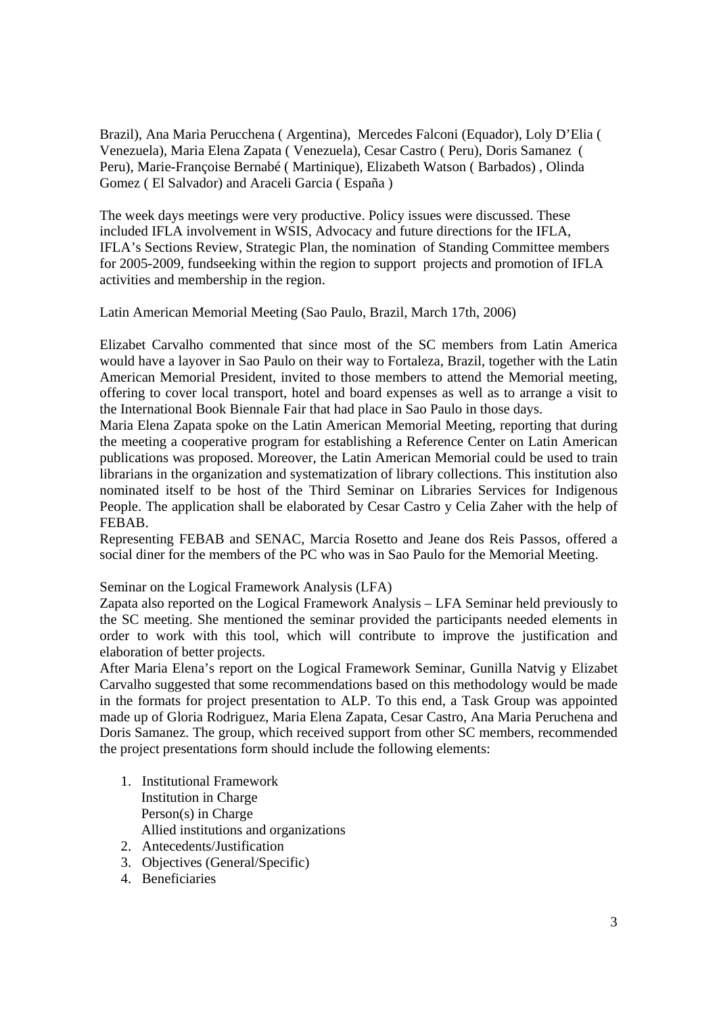Brazil), Ana Maria Perucchena ( Argentina), Mercedes Falconi (Equador), Loly D'Elia ( Venezuela), Maria Elena Zapata ( Venezuela), Cesar Castro ( Peru), Doris Samanez ( Peru), Marie-Françoise Bernabé ( Martinique), Elizabeth Watson ( Barbados) , Olinda Gomez ( El Salvador) and Araceli Garcia ( España )

The week days meetings were very productive. Policy issues were discussed. These included IFLA involvement in WSIS, Advocacy and future directions for the IFLA, IFLA's Sections Review, Strategic Plan, the nomination of Standing Committee members for 2005-2009, fundseeking within the region to support projects and promotion of IFLA activities and membership in the region.

Latin American Memorial Meeting (Sao Paulo, Brazil, March 17th, 2006)

Elizabet Carvalho commented that since most of the SC members from Latin America would have a layover in Sao Paulo on their way to Fortaleza, Brazil, together with the Latin American Memorial President, invited to those members to attend the Memorial meeting, offering to cover local transport, hotel and board expenses as well as to arrange a visit to the International Book Biennale Fair that had place in Sao Paulo in those days.

Maria Elena Zapata spoke on the Latin American Memorial Meeting, reporting that during the meeting a cooperative program for establishing a Reference Center on Latin American publications was proposed. Moreover, the Latin American Memorial could be used to train librarians in the organization and systematization of library collections. This institution also nominated itself to be host of the Third Seminar on Libraries Services for Indigenous People. The application shall be elaborated by Cesar Castro y Celia Zaher with the help of FEBAB.

Representing FEBAB and SENAC, Marcia Rosetto and Jeane dos Reis Passos, offered a social diner for the members of the PC who was in Sao Paulo for the Memorial Meeting.

Seminar on the Logical Framework Analysis (LFA)

Zapata also reported on the Logical Framework Analysis – LFA Seminar held previously to the SC meeting. She mentioned the seminar provided the participants needed elements in order to work with this tool, which will contribute to improve the justification and elaboration of better projects.

After Maria Elena's report on the Logical Framework Seminar, Gunilla Natvig y Elizabet Carvalho suggested that some recommendations based on this methodology would be made in the formats for project presentation to ALP. To this end, a Task Group was appointed made up of Gloria Rodriguez, Maria Elena Zapata, Cesar Castro, Ana Maria Peruchena and Doris Samanez. The group, which received support from other SC members, recommended the project presentations form should include the following elements:

- 1. Institutional Framework Institution in Charge Person(s) in Charge Allied institutions and organizations
- 2. Antecedents/Justification
- 3. Objectives (General/Specific)
- 4. Beneficiaries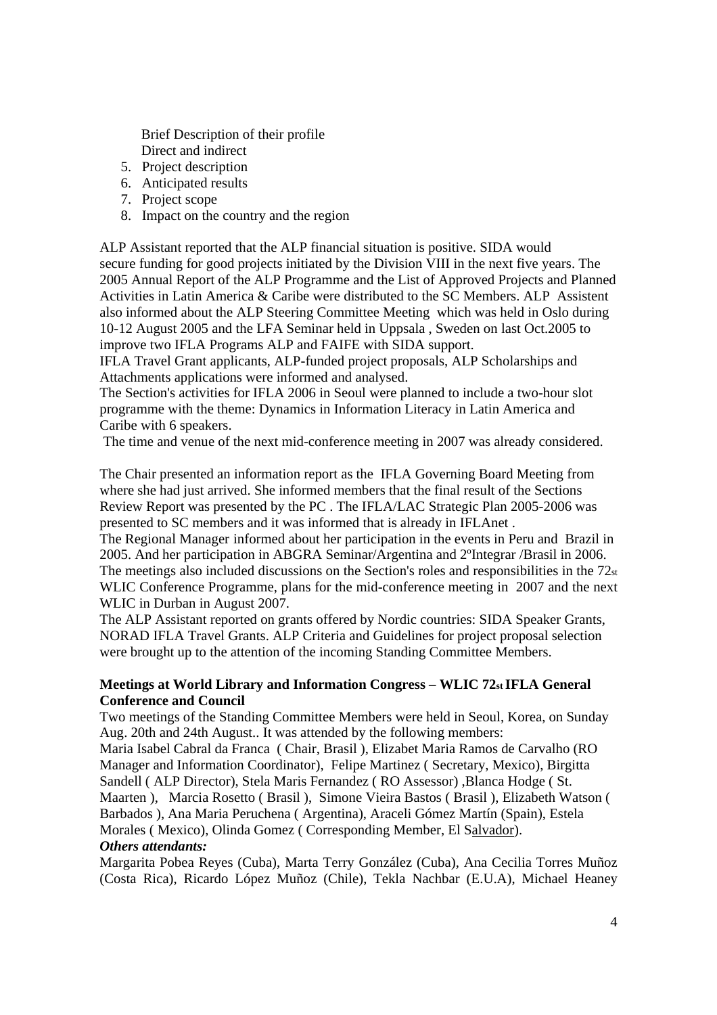Brief Description of their profile Direct and indirect

- 5. Project description
- 6. Anticipated results
- 7. Project scope
- 8. Impact on the country and the region

ALP Assistant reported that the ALP financial situation is positive. SIDA would secure funding for good projects initiated by the Division VIII in the next five years. The 2005 Annual Report of the ALP Programme and the List of Approved Projects and Planned Activities in Latin America & Caribe were distributed to the SC Members. ALP Assistent also informed about the ALP Steering Committee Meeting which was held in Oslo during 10-12 August 2005 and the LFA Seminar held in Uppsala , Sweden on last Oct.2005 to improve two IFLA Programs ALP and FAIFE with SIDA support.

IFLA Travel Grant applicants, ALP-funded project proposals, ALP Scholarships and Attachments applications were informed and analysed.

The Section's activities for IFLA 2006 in Seoul were planned to include a two-hour slot programme with the theme: Dynamics in Information Literacy in Latin America and Caribe with 6 speakers.

The time and venue of the next mid-conference meeting in 2007 was already considered.

The Chair presented an information report as the IFLA Governing Board Meeting from where she had just arrived. She informed members that the final result of the Sections Review Report was presented by the PC . The IFLA/LAC Strategic Plan 2005-2006 was presented to SC members and it was informed that is already in IFLAnet .

The Regional Manager informed about her participation in the events in Peru and Brazil in 2005. And her participation in ABGRA Seminar/Argentina and 2ºIntegrar /Brasil in 2006. The meetings also included discussions on the Section's roles and responsibilities in the  $72_{st}$ WLIC Conference Programme, plans for the mid-conference meeting in 2007 and the next WLIC in Durban in August 2007.

The ALP Assistant reported on grants offered by Nordic countries: SIDA Speaker Grants, NORAD IFLA Travel Grants. ALP Criteria and Guidelines for project proposal selection were brought up to the attention of the incoming Standing Committee Members.

# **Meetings at World Library and Information Congress – WLIC 72st IFLA General Conference and Council**

Two meetings of the Standing Committee Members were held in Seoul, Korea, on Sunday Aug. 20th and 24th August.. It was attended by the following members:

Maria Isabel Cabral da Franca ( Chair, Brasil ), Elizabet Maria Ramos de Carvalho (RO Manager and Information Coordinator), Felipe Martinez ( Secretary, Mexico), Birgitta Sandell ( ALP Director), Stela Maris Fernandez ( RO Assessor) ,Blanca Hodge ( St. Maarten ), Marcia Rosetto ( Brasil ), Simone Vieira Bastos ( Brasil ), Elizabeth Watson ( Barbados ), Ana Maria Peruchena ( Argentina), Araceli Gómez Martín (Spain), Estela Morales ( Mexico), Olinda Gomez ( Corresponding Member, El Salvador). *Others attendants:* 

Margarita Pobea Reyes (Cuba), Marta Terry González (Cuba), Ana Cecilia Torres Muñoz (Costa Rica), Ricardo López Muñoz (Chile), Tekla Nachbar (E.U.A), Michael Heaney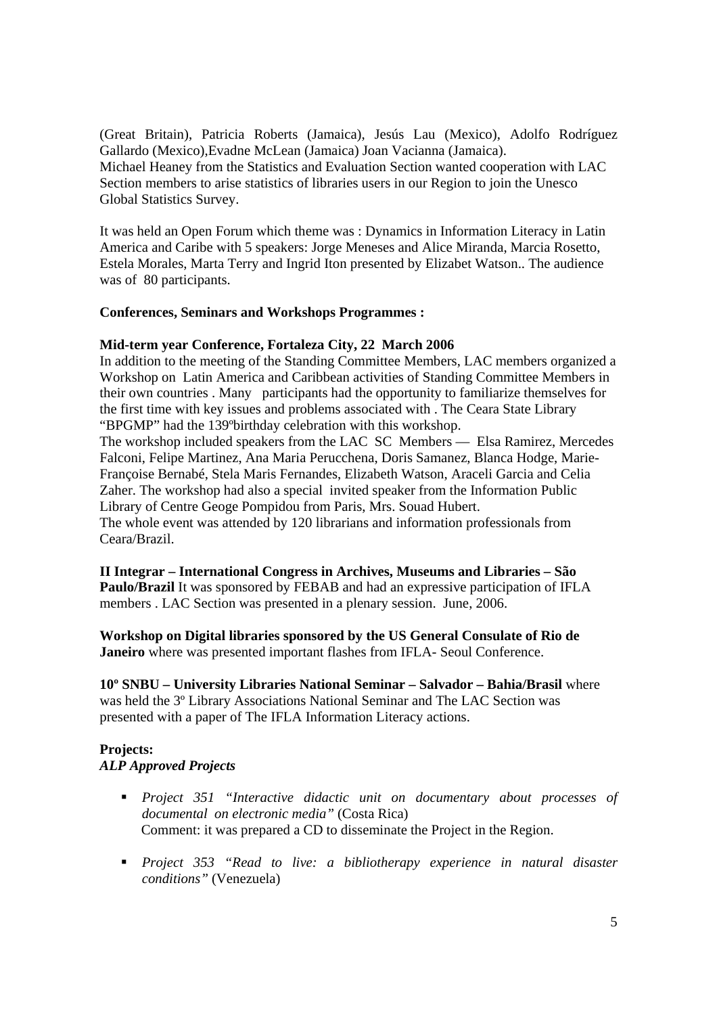(Great Britain), Patricia Roberts (Jamaica), Jesús Lau (Mexico), Adolfo Rodríguez Gallardo (Mexico),Evadne McLean (Jamaica) Joan Vacianna (Jamaica). Michael Heaney from the Statistics and Evaluation Section wanted cooperation with LAC Section members to arise statistics of libraries users in our Region to join the Unesco Global Statistics Survey.

It was held an Open Forum which theme was : Dynamics in Information Literacy in Latin America and Caribe with 5 speakers: Jorge Meneses and Alice Miranda, Marcia Rosetto, Estela Morales, Marta Terry and Ingrid Iton presented by Elizabet Watson.. The audience was of 80 participants.

# **Conferences, Seminars and Workshops Programmes :**

## **Mid-term year Conference, Fortaleza City, 22 March 2006**

In addition to the meeting of the Standing Committee Members, LAC members organized a Workshop on Latin America and Caribbean activities of Standing Committee Members in their own countries . Many participants had the opportunity to familiarize themselves for the first time with key issues and problems associated with . The Ceara State Library "BPGMP" had the 139ºbirthday celebration with this workshop.

The workshop included speakers from the LAC SC Members — Elsa Ramirez, Mercedes Falconi, Felipe Martinez, Ana Maria Perucchena, Doris Samanez, Blanca Hodge, Marie-Françoise Bernabé, Stela Maris Fernandes, Elizabeth Watson, Araceli Garcia and Celia Zaher. The workshop had also a special invited speaker from the Information Public Library of Centre Geoge Pompidou from Paris, Mrs. Souad Hubert. The whole event was attended by 120 librarians and information professionals from

Ceara/Brazil.

**II Integrar – International Congress in Archives, Museums and Libraries – São Paulo/Brazil** It was sponsored by FEBAB and had an expressive participation of IFLA members . LAC Section was presented in a plenary session. June, 2006.

**Workshop on Digital libraries sponsored by the US General Consulate of Rio de Janeiro** where was presented important flashes from IFLA- Seoul Conference.

**10º SNBU – University Libraries National Seminar – Salvador – Bahia/Brasil** where was held the 3º Library Associations National Seminar and The LAC Section was presented with a paper of The IFLA Information Literacy actions.

# **Projects:**  *ALP Approved Projects*

- *Project 351 "Interactive didactic unit on documentary about processes of documental on electronic media"* (Costa Rica) Comment: it was prepared a CD to disseminate the Project in the Region.
- *Project 353 "Read to live: a bibliotherapy experience in natural disaster conditions"* (Venezuela)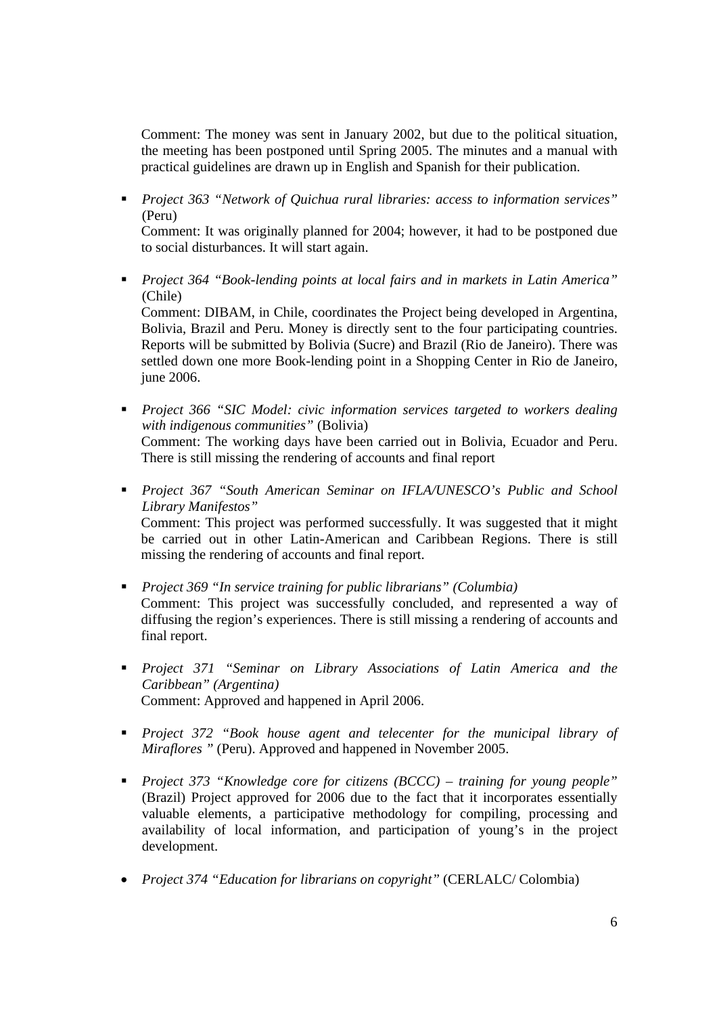Comment: The money was sent in January 2002, but due to the political situation, the meeting has been postponed until Spring 2005. The minutes and a manual with practical guidelines are drawn up in English and Spanish for their publication.

 *Project 363 "Network of Quichua rural libraries: access to information services"*  (Peru)

Comment: It was originally planned for 2004; however, it had to be postponed due to social disturbances. It will start again.

 *Project 364 "Book-lending points at local fairs and in markets in Latin America"* (Chile)

Comment: DIBAM, in Chile, coordinates the Project being developed in Argentina, Bolivia, Brazil and Peru. Money is directly sent to the four participating countries. Reports will be submitted by Bolivia (Sucre) and Brazil (Rio de Janeiro). There was settled down one more Book-lending point in a Shopping Center in Rio de Janeiro, june 2006.

- *Project 366 "SIC Model: civic information services targeted to workers dealing with indigenous communities"* (Bolivia) Comment: The working days have been carried out in Bolivia, Ecuador and Peru. There is still missing the rendering of accounts and final report
- *Project 367 "South American Seminar on IFLA/UNESCO's Public and School Library Manifestos"* Comment: This project was performed successfully. It was suggested that it might be carried out in other Latin-American and Caribbean Regions. There is still missing the rendering of accounts and final report.
- *Project 369 "In service training for public librarians" (Columbia)* Comment: This project was successfully concluded, and represented a way of diffusing the region's experiences. There is still missing a rendering of accounts and final report.
- *Project 371 "Seminar on Library Associations of Latin America and the Caribbean" (Argentina)* Comment: Approved and happened in April 2006.
- **Project 372 "Book house agent and telecenter for the municipal library of** *Miraflores* " (Peru). Approved and happened in November 2005.
- *Project 373 "Knowledge core for citizens (BCCC) training for young people"*  (Brazil) Project approved for 2006 due to the fact that it incorporates essentially valuable elements, a participative methodology for compiling, processing and availability of local information, and participation of young's in the project development.
- *Project 374 "Education for librarians on copyright"* (CERLALC/ Colombia)